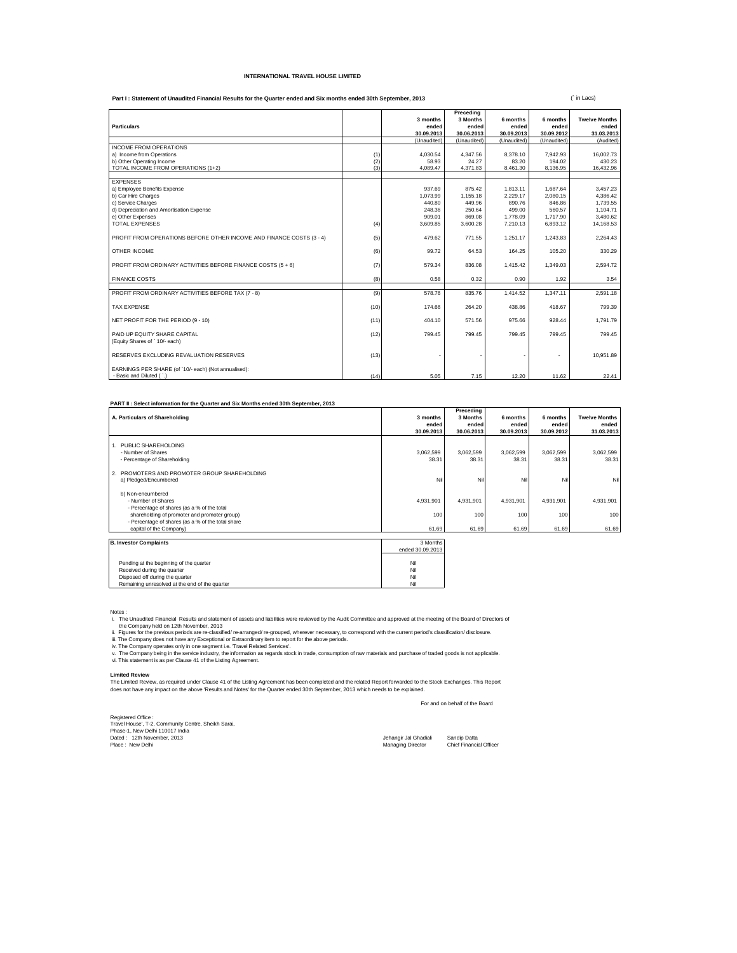## **INTERNATIONAL TRAVEL HOUSE LIMITED**

Part I: Statement of Unaudited Financial Results for the Quarter ended and Six months ended 30th September, 2013

|                                                                      |      |             | Precedina   |             |             |                      |
|----------------------------------------------------------------------|------|-------------|-------------|-------------|-------------|----------------------|
|                                                                      |      | 3 months    | 3 Months    | 6 months    | 6 months    | <b>Twelve Months</b> |
| <b>Particulars</b>                                                   |      | ended       | ended       | ended       | ended       | ended                |
|                                                                      |      | 30.09.2013  | 30.06.2013  | 30.09.2013  | 30.09.2012  | 31.03.2013           |
|                                                                      |      | (Unaudited) | (Unaudited) | (Unaudited) | (Unaudited) | (Audited)            |
| <b>INCOME FROM OPERATIONS</b>                                        |      |             |             |             |             |                      |
| a) Income from Operations                                            | (1)  | 4,030.54    | 4,347.56    | 8,378.10    | 7,942.93    | 16.002.73            |
| b) Other Operating Income                                            | (2)  | 58.93       | 24.27       | 83.20       | 194.02      | 430.23               |
| TOTAL INCOME FROM OPERATIONS (1+2)                                   | (3)  | 4.089.47    | 4,371.83    | 8,461.30    | 8,136.95    | 16,432.96            |
|                                                                      |      |             |             |             |             |                      |
| <b>EXPENSES</b>                                                      |      |             |             |             |             |                      |
| a) Employee Benefits Expense                                         |      | 937.69      | 875.42      | 1.813.11    | 1.687.64    | 3.457.23             |
| b) Car Hire Charges                                                  |      | 1.073.99    | 1.155.18    | 2.229.17    | 2.080.15    | 4.386.42             |
| c) Service Charges                                                   |      | 440.80      | 449.96      | 890.76      | 846.86      | 1.739.55             |
| d) Depreciation and Amortisation Expense                             |      | 248.36      | 250.64      | 499.00      | 560.57      | 1.104.71             |
| e) Other Expenses                                                    |      | 909.01      | 869.08      | 1,778.09    | 1.717.90    | 3.480.62             |
| <b>TOTAL EXPENSES</b>                                                | (4)  | 3.609.85    | 3.600.28    | 7.210.13    | 6,893.12    | 14,168.53            |
|                                                                      |      |             |             |             |             |                      |
| PROFIT FROM OPERATIONS BEFORE OTHER INCOME AND FINANCE COSTS (3 - 4) | (5)  | 479.62      | 771.55      | 1,251.17    | 1.243.83    | 2.264.43             |
|                                                                      |      |             |             |             |             |                      |
| OTHER INCOME                                                         | (6)  | 99.72       | 64.53       | 164.25      | 105.20      | 330.29               |
|                                                                      |      |             |             |             |             |                      |
| PROFIT FROM ORDINARY ACTIVITIES BEFORE FINANCE COSTS (5 + 6)         | (7)  | 579.34      | 836.08      | 1.415.42    | 1.349.03    | 2.594.72             |
|                                                                      |      |             |             |             |             |                      |
| <b>FINANCE COSTS</b>                                                 | (8)  | 0.58        | 0.32        | 0.90        | 1.92        | 3.54                 |
|                                                                      |      |             |             |             |             |                      |
| PROFIT FROM ORDINARY ACTIVITIES BEFORE TAX (7 - 8)                   | (9)  | 578.76      | 835.76      | 1.414.52    | 1.347.11    | 2.591.18             |
|                                                                      |      |             |             |             |             |                      |
| <b>TAX EXPENSE</b>                                                   | (10) | 174.66      | 264.20      | 438.86      | 418.67      | 799.39               |
|                                                                      |      |             |             |             |             |                      |
| NET PROFIT FOR THE PERIOD (9 - 10)                                   | (11) | 404.10      | 571.56      | 975.66      | 928.44      | 1.791.79             |
|                                                                      |      |             |             |             |             |                      |
| PAID UP FOUITY SHARE CAPITAL                                         | (12) | 799.45      | 799.45      | 799.45      | 799.45      | 799.45               |
| (Equity Shares of ` 10/- each)                                       |      |             |             |             |             |                      |
|                                                                      |      |             |             |             |             |                      |
| RESERVES EXCLUDING REVALUATION RESERVES                              | (13) |             |             |             |             | 10,951.89            |
|                                                                      |      |             |             |             |             |                      |
| EARNINGS PER SHARE (of `10/- each) (Not annualised):                 |      |             |             |             |             |                      |
| - Basic and Diluted ( `.)                                            | (14) | 5.05        | 7.15        | 12.20       | 11.62       | 22.41                |

## **PART II : Select information for the Quarter and Six Months ended 30th September, 2013**

|                                                   |            | Precedina  |            |            |                      |
|---------------------------------------------------|------------|------------|------------|------------|----------------------|
| A. Particulars of Shareholding                    | 3 months   | 3 Months   | 6 months   | 6 months   | <b>Twelve Months</b> |
|                                                   | ended      | ended      | ended      | ended      | ended                |
|                                                   | 30.09.2013 | 30.06.2013 | 30.09.2013 | 30.09.2012 | 31.03.2013           |
| PUBLIC SHARFHOLDING                               |            |            |            |            |                      |
| - Number of Shares                                | 3,062,599  | 3,062,599  | 3,062,599  | 3,062,599  | 3,062,599            |
| - Percentage of Shareholding                      | 38.31      | 38.31      | 38.31      | 38.31      | 38.31                |
| PROMOTERS AND PROMOTER GROUP SHAREHOLDING<br>2.   |            |            |            |            |                      |
| a) Pledged/Encumbered                             | Nil        | Nil        | Ni         | Ni         | Nil                  |
| b) Non-encumbered                                 |            |            |            |            |                      |
| - Number of Shares                                | 4,931,901  | 4,931,901  | 4.931.901  | 4.931.901  | 4,931,901            |
| - Percentage of shares (as a % of the total       |            |            |            |            |                      |
| shareholding of promoter and promoter group)      | 100        | 100        | 100        | 100        | 100                  |
| - Percentage of shares (as a % of the total share |            |            |            |            |                      |
| capital of the Company)                           | 61.69      | 61.69      | 61.69      | 61.69      | 61.69                |
|                                                   |            |            |            |            |                      |

| <b>B. Investor Complaints</b>                  | 3 Months         |
|------------------------------------------------|------------------|
|                                                | ended 30.09.2013 |
|                                                |                  |
| Pending at the beginning of the quarter        | Nil              |
| Received during the quarter                    | Nil              |
| Disposed off during the quarter                | Nil              |
| Remaining unresolved at the end of the quarter | Nil              |

Notes :<br>
i. The Unaudited Financial Results and statement of assets and liabilities were reviewed by the Audit Committee and approved at the meeting of the Board of Directors of<br>
ii. The Company held on 12th November, 2013

## **Limited Review**

The Limited Review, as required under Clause 41 of the Listing Agreement has been completed and the related Report forwarded to the Stock Exchanges. This Report<br>does not have any impact on the above 'Results and Notes' for

For and on behalf of the Board

Registered Office : Travel House', T-2, Community Centre, Sheikh Sarai, Phase-1, New Delhi 110017 India Dated : 12th November, 2013 Jehangir Jal Ghadiali Sandip Datta Place : New Delhi Managing Director Chief Financial Officer